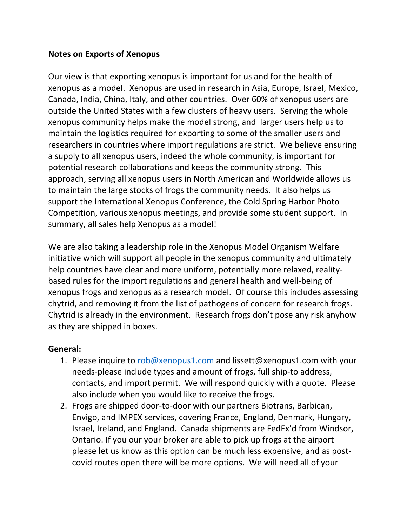## **Notes on Exports of Xenopus**

Our view is that exporting xenopus is important for us and for the health of xenopus as a model. Xenopus are used in research in Asia, Europe, Israel, Mexico, Canada, India, China, Italy, and other countries. Over 60% of xenopus users are outside the United States with a few clusters of heavy users. Serving the whole xenopus community helps make the model strong, and larger users help us to maintain the logistics required for exporting to some of the smaller users and researchers in countries where import regulations are strict. We believe ensuring a supply to all xenopus users, indeed the whole community, is important for potential research collaborations and keeps the community strong. This approach, serving all xenopus users in North American and Worldwide allows us to maintain the large stocks of frogs the community needs. It also helps us support the International Xenopus Conference, the Cold Spring Harbor Photo Competition, various xenopus meetings, and provide some student support. In summary, all sales help Xenopus as a model!

We are also taking a leadership role in the Xenopus Model Organism Welfare initiative which will support all people in the xenopus community and ultimately help countries have clear and more uniform, potentially more relaxed, realitybased rules for the import regulations and general health and well-being of xenopus frogs and xenopus as a research model. Of course this includes assessing chytrid, and removing it from the list of pathogens of concern for research frogs. Chytrid is already in the environment. Research frogs don't pose any risk anyhow as they are shipped in boxes.

## **General:**

- 1. Please inquire to rob@xenopus1.com and lissett@xenopus1.com with your needs-please include types and amount of frogs, full ship-to address, contacts, and import permit. We will respond quickly with a quote. Please also include when you would like to receive the frogs.
- 2. Frogs are shipped door-to-door with our partners Biotrans, Barbican, Envigo, and IMPEX services, covering France, England, Denmark, Hungary, Israel, Ireland, and England. Canada shipments are FedEx'd from Windsor, Ontario. If you our your broker are able to pick up frogs at the airport please let us know as this option can be much less expensive, and as postcovid routes open there will be more options. We will need all of your